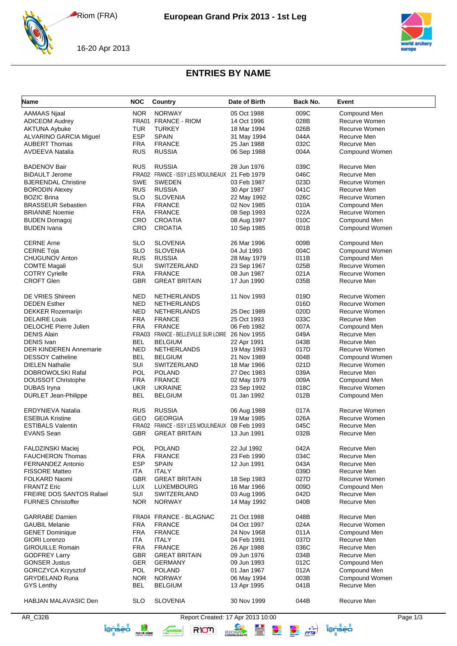Riom (FRA)



16-20 Apr 2013



## **ENTRIES BY NAME**

| Name                                              | <b>NOC</b>               | <b>Country</b>                                  | Date of Birth                     | Back No.     | Event                         |
|---------------------------------------------------|--------------------------|-------------------------------------------------|-----------------------------------|--------------|-------------------------------|
| <b>AAMAAS Njaal</b>                               | <b>NOR</b>               | <b>NORWAY</b>                                   | 05 Oct 1988                       | 009C         | Compound Men                  |
| <b>ADICEOM Audrey</b>                             |                          | FRA01 FRANCE - RIOM                             | 14 Oct 1996                       | 028B         | Recurve Women                 |
| <b>AKTUNA Aybuke</b>                              | TUR                      | <b>TURKEY</b>                                   | 18 Mar 1994                       | 026B         | Recurve Women                 |
| ALVARINO GARCIA Miguel                            | <b>ESP</b>               | <b>SPAIN</b>                                    | 31 May 1994                       | 044A         | Recurve Men                   |
| <b>AUBERT Thomas</b>                              | <b>FRA</b>               | <b>FRANCE</b>                                   | 25 Jan 1988                       | 032C         | Recurve Men                   |
| AVDEEVA Natalia                                   | <b>RUS</b>               | <b>RUSSIA</b>                                   | 06 Sep 1988                       | 004A         | Compound Women                |
|                                                   |                          |                                                 |                                   |              |                               |
| <b>BADENOV Bair</b>                               | <b>RUS</b>               | <b>RUSSIA</b>                                   | 28 Jun 1976                       | 039C         | Recurve Men                   |
| <b>BIDAULT Jerome</b>                             |                          | FRA02 FRANCE - ISSY LES MOULINEAUX 21 Feb 1979  |                                   | 046C         | Recurve Men                   |
| <b>BJERENDAL Christine</b>                        | <b>SWE</b>               | <b>SWEDEN</b>                                   | 03 Feb 1987                       | 023D         | Recurve Women                 |
| <b>BORODIN Alexey</b>                             | <b>RUS</b>               | <b>RUSSIA</b>                                   | 30 Apr 1987                       | 041C         | Recurve Men                   |
| <b>BOZIC Brina</b>                                | <b>SLO</b>               | <b>SLOVENIA</b>                                 | 22 May 1992                       | 026C         | Recurve Women                 |
| <b>BRASSEUR Sebastien</b>                         | <b>FRA</b>               | <b>FRANCE</b>                                   | 02 Nov 1985                       | 010A         | Compound Men                  |
| <b>BRIANNE Noemie</b>                             | <b>FRA</b>               | <b>FRANCE</b>                                   | 08 Sep 1993                       | 022A         | Recurve Women                 |
| <b>BUDEN Domagoj</b>                              | CRO                      | <b>CROATIA</b>                                  | 08 Aug 1997                       | 010C         | Compound Men                  |
| <b>BUDEN</b> Ivana                                | CRO                      | <b>CROATIA</b>                                  | 10 Sep 1985                       | 001B         | Compound Women                |
| <b>CERNE Arne</b>                                 | <b>SLO</b>               | <b>SLOVENIA</b>                                 | 26 Mar 1996                       | 009B         | Compound Men                  |
| <b>CERNE Toja</b>                                 | <b>SLO</b>               | <b>SLOVENIA</b>                                 | 04 Jul 1993                       | 004C         | Compound Women                |
| <b>CHUGUNOV Anton</b>                             | <b>RUS</b>               | <b>RUSSIA</b>                                   | 28 May 1979                       | 011B         | Compound Men                  |
| <b>COMTE Magali</b>                               | <b>SUI</b>               | SWITZERLAND                                     | 23 Sep 1967                       | 025B         | Recurve Women                 |
|                                                   | <b>FRA</b>               |                                                 |                                   |              | Recurve Women                 |
| <b>COTRY Cyrielle</b>                             |                          | <b>FRANCE</b>                                   | 08 Jun 1987                       | 021A         |                               |
| <b>CROFT Glen</b>                                 | <b>GBR</b>               | <b>GREAT BRITAIN</b>                            | 17 Jun 1990                       | 035B         | Recurve Men                   |
| <b>DE VRIES Shireen</b>                           | <b>NED</b>               | NETHERLANDS                                     | 11 Nov 1993                       | 019D         | Recurve Women                 |
| <b>DEDEN Esther</b>                               | NED                      | <b>NETHERLANDS</b>                              |                                   | 016D         | Recurve Women                 |
| <b>DEKKER Rozemarijn</b>                          | NED                      | <b>NETHERLANDS</b>                              | 25 Dec 1989                       | 020D         | Recurve Women                 |
| <b>DELAIRE Louis</b>                              | <b>FRA</b>               | <b>FRANCE</b>                                   | 25 Oct 1993                       | 033C         | Recurve Men                   |
| DELOCHE Pierre Julien                             | <b>FRA</b>               | <b>FRANCE</b>                                   | 06 Feb 1982                       | 007A         | Compound Men                  |
| <b>DENIS Alain</b>                                |                          | FRA03 FRANCE - BELLEVILLE SUR LOIRE 26 Nov 1955 |                                   | 049A         | Recurve Men                   |
| <b>DENIS Ivan</b>                                 | <b>BEL</b>               | <b>BELGIUM</b>                                  | 22 Apr 1991                       | 043B         | Recurve Men                   |
| <b>DER KINDEREN Annemarie</b>                     | NED                      | <b>NETHERLANDS</b>                              | 19 May 1993                       | 017D         | Recurve Women                 |
| <b>DESSOY Catheline</b>                           | <b>BEL</b>               | <b>BELGIUM</b>                                  | 21 Nov 1989                       | 004B         | Compound Women                |
| <b>DIELEN Nathalie</b>                            | <b>SUI</b>               | SWITZERLAND                                     | 18 Mar 1966                       | 021D         | Recurve Women                 |
| DOBROWOLSKI Rafal                                 | <b>POL</b>               | <b>POLAND</b>                                   | 27 Dec 1983                       | 039A         | Recurve Men                   |
|                                                   | <b>FRA</b>               | <b>FRANCE</b>                                   |                                   | 009A         |                               |
| <b>DOUSSOT Christophe</b>                         |                          |                                                 | 02 May 1979                       |              | Compound Men                  |
| <b>DUBAS</b> Iryna<br><b>DURLET Jean-Philippe</b> | <b>UKR</b><br><b>BEL</b> | <b>UKRAINE</b><br><b>BELGIUM</b>                | 23 Sep 1992<br>01 Jan 1992        | 018C<br>012B | Recurve Women<br>Compound Men |
|                                                   |                          |                                                 |                                   |              |                               |
| <b>ERDYNIEVA Natalia</b>                          | <b>RUS</b>               | <b>RUSSIA</b>                                   | 06 Aug 1988                       | 017A         | Recurve Women                 |
| <b>ESEBUA Kristine</b>                            | GEO                      | <b>GEORGIA</b>                                  | 19 Mar 1985                       | 026A         | Recurve Women                 |
| <b>ESTIBALS Valentin</b>                          |                          | FRA02 FRANCE - ISSY LES MOULINEAUX              | 08 Feb 1993                       | 045C         | Recurve Men                   |
| <b>EVANS Sean</b>                                 | <b>GBR</b>               | <b>GREAT BRITAIN</b>                            | 13 Jun 1991                       | 032B         | Recurve Men                   |
| <b>FALDZINSKI Maciej</b>                          | <b>POL</b>               | <b>POLAND</b>                                   | 22 Jul 1992                       | 042A         | Recurve Men                   |
| <b>FAUCHERON Thomas</b>                           | <b>FRA</b>               | <b>FRANCE</b>                                   | 23 Feb 1990                       | 034C         | Recurve Men                   |
| <b>FERNANDEZ Antonio</b>                          | <b>ESP</b>               | <b>SPAIN</b>                                    | 12 Jun 1991                       | 043A         | Recurve Men                   |
| <b>FISSORE Matteo</b>                             | ITA                      | <b>ITALY</b>                                    |                                   | 039D         | Recurve Men                   |
| FOLKARD Naomi                                     | <b>GBR</b>               | <b>GREAT BRITAIN</b>                            |                                   | 027D         | Recurve Women                 |
|                                                   |                          |                                                 | 18 Sep 1983<br>16 Mar 1966        |              |                               |
| <b>FRANTZ Eric</b>                                | LUX                      | LUXEMBOURG                                      |                                   | 009D         | Compound Men                  |
| <b>FREIRE DOS SANTOS Rafael</b>                   | SUI                      | SWITZERLAND                                     | 03 Aug 1995                       | 042D         | Recurve Men                   |
| <b>FURNES Christoffer</b>                         | <b>NOR</b>               | <b>NORWAY</b>                                   | 14 May 1992                       | 040B         | Recurve Men                   |
| <b>GARRABE</b> Damien                             |                          | FRA04 FRANCE - BLAGNAC                          | 21 Oct 1988                       | 048B         | Recurve Men                   |
| <b>GAUBIL Melanie</b>                             | <b>FRA</b>               | <b>FRANCE</b>                                   | 04 Oct 1997                       | 024A         | Recurve Women                 |
| <b>GENET Dominique</b>                            | <b>FRA</b>               | <b>FRANCE</b>                                   | 24 Nov 1968                       | 011A         | Compound Men                  |
| GIORI Lorenzo                                     | ITA                      | <b>ITALY</b>                                    | 04 Feb 1991                       | 037D         | Recurve Men                   |
| <b>GIROUILLE Romain</b>                           | <b>FRA</b>               | <b>FRANCE</b>                                   | 26 Apr 1988                       | 036C         | Recurve Men                   |
| <b>GODFREY Larry</b>                              | <b>GBR</b>               | <b>GREAT BRITAIN</b>                            | 09 Jun 1976                       | 034B         | Recurve Men                   |
| <b>GONSER Justus</b>                              | GER                      | <b>GERMANY</b>                                  | 09 Jun 1993                       | 012C         | Compound Men                  |
| <b>GORCZYCA Krzysztof</b>                         | <b>POL</b>               | <b>POLAND</b>                                   | 01 Jan 1967                       | 012A         | Compound Men                  |
| <b>GRYDELAND Runa</b>                             | <b>NOR</b>               | <b>NORWAY</b>                                   | 06 May 1994                       | 003B         | Compound Women                |
| GYS Lenthy                                        | <b>BEL</b>               | <b>BELGIUM</b>                                  | 13 Apr 1995                       | 041B         | Recurve Men                   |
|                                                   |                          |                                                 |                                   |              |                               |
| <b>HABJAN MALAVASIC Den</b>                       | <b>SLO</b>               | <b>SLOVENIA</b>                                 | 30 Nov 1999                       | 044B         | Recurve Men                   |
| AR_C32B                                           |                          |                                                 | Report Created: 17 Apr 2013 10:00 |              | Page 1/3                      |





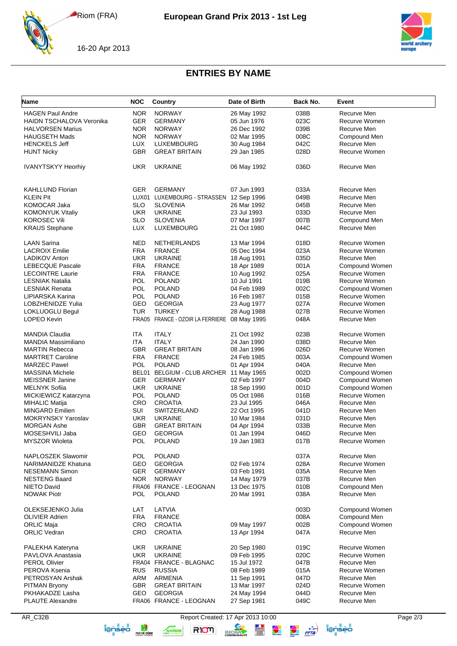Riom (FRA)



16-20 Apr 2013



## **ENTRIES BY NAME**

| Name                            | <b>NOC</b> | Country                                 | Date of Birth | Back No. | Event          |
|---------------------------------|------------|-----------------------------------------|---------------|----------|----------------|
| <b>HAGEN Paul Andre</b>         | <b>NOR</b> | <b>NORWAY</b>                           | 26 May 1992   | 038B     | Recurve Men    |
| <b>HAIDN TSCHALOVA Veronika</b> | <b>GER</b> | <b>GERMANY</b>                          | 05 Jun 1976   | 023C     | Recurve Women  |
|                                 |            |                                         |               |          |                |
| <b>HALVORSEN Marius</b>         | <b>NOR</b> | <b>NORWAY</b>                           | 26 Dec 1992   | 039B     | Recurve Men    |
| <b>HAUGSETH Mads</b>            | <b>NOR</b> | <b>NORWAY</b>                           | 02 Mar 1995   | 008C     | Compound Men   |
| <b>HENCKELS Jeff</b>            | <b>LUX</b> | LUXEMBOURG                              | 30 Aug 1984   | 042C     | Recurve Men    |
| <b>HUNT Nicky</b>               | GBR        | <b>GREAT BRITAIN</b>                    | 29 Jan 1985   | 028D     | Recurve Women  |
| <b>IVANYTSKYY Heorhiy</b>       | <b>UKR</b> | <b>UKRAINE</b>                          | 06 May 1992   | 036D     | Recurve Men    |
| <b>KAHLLUND Florian</b>         | <b>GER</b> | <b>GERMANY</b>                          | 07 Jun 1993   | 033A     | Recurve Men    |
| <b>KLEIN Pit</b>                |            | LUX01 LUXEMBOURG - STRASSEN 12 Sep 1996 |               | 049B     | Recurve Men    |
| <b>KOMOCAR Jaka</b>             | <b>SLO</b> | <b>SLOVENIA</b>                         | 26 Mar 1992   | 045B     | Recurve Men    |
|                                 |            |                                         |               |          | Recurve Men    |
| <b>KOMONYUK Vitaliy</b>         | <b>UKR</b> | <b>UKRAINE</b>                          | 23 Jul 1993   | 033D     |                |
| <b>KOROSEC Vili</b>             | <b>SLO</b> | <b>SLOVENIA</b>                         | 07 Mar 1997   | 007B     | Compound Men   |
| <b>KRAUS Stephane</b>           | LUX        | LUXEMBOURG                              | 21 Oct 1980   | 044C     | Recurve Men    |
| <b>LAAN Sarina</b>              | <b>NED</b> | NETHERLANDS                             | 13 Mar 1994   | 018D     | Recurve Women  |
| <b>LACROIX Emilie</b>           | <b>FRA</b> | <b>FRANCE</b>                           | 05 Dec 1994   | 023A     | Recurve Women  |
| <b>LADIKOV Anton</b>            | <b>UKR</b> | <b>UKRAINE</b>                          | 18 Aug 1991   | 035D     | Recurve Men    |
| <b>LEBECQUE Pascale</b>         | <b>FRA</b> | <b>FRANCE</b>                           | 18 Apr 1989   | 001A     | Compound Women |
| <b>LECOINTRE Laurie</b>         | <b>FRA</b> | <b>FRANCE</b>                           | 10 Aug 1992   | 025A     | Recurve Women  |
| <b>LESNIAK Natalia</b>          | <b>POL</b> | <b>POLAND</b>                           | 10 Jul 1991   | 019B     | Recurve Women  |
| <b>LESNIAK Renata</b>           | <b>POL</b> | <b>POLAND</b>                           | 04 Feb 1989   | 002C     | Compound Women |
|                                 |            |                                         | 16 Feb 1987   |          | Recurve Women  |
| LIPIARSKA Karina                | <b>POL</b> | <b>POLAND</b>                           |               | 015B     |                |
| LOBZHENIDZE Yulia               | GEO        | <b>GEORGIA</b>                          | 23 Aug 1977   | 027A     | Recurve Women  |
| <b>LOKLUOGLU Begul</b>          | <b>TUR</b> | <b>TURKEY</b>                           | 28 Aug 1988   | 027B     | Recurve Women  |
| LOPEO Kevin                     |            | FRA05 FRANCE - OZOIR LA FERRIERE        | 08 May 1995   | 048A     | Recurve Men    |
| <b>MANDIA Claudia</b>           | ITA        | <b>ITALY</b>                            | 21 Oct 1992   | 023B     | Recurve Women  |
| MANDIA Massimiliano             | ITA        | <b>ITALY</b>                            | 24 Jan 1990   | 038D     | Recurve Men    |
| <b>MARTIN Rebecca</b>           | GBR        | <b>GREAT BRITAIN</b>                    | 08 Jan 1996   | 026D     | Recurve Women  |
| <b>MARTRET Caroline</b>         | <b>FRA</b> | <b>FRANCE</b>                           | 24 Feb 1985   | 003A     | Compound Women |
| <b>MARZEC Pawel</b>             | <b>POL</b> | <b>POLAND</b>                           | 01 Apr 1994   | 040A     | Recurve Men    |
| <b>MASSINA Michele</b>          |            | BEL01 BELGIUM - CLUB ARCHER 11 May 1965 |               | 002D     | Compound Women |
| <b>MEISSNER Janine</b>          | <b>GER</b> | <b>GERMANY</b>                          | 02 Feb 1997   | 004D     | Compound Women |
| <b>MELNYK Sofiia</b>            | <b>UKR</b> | <b>UKRAINE</b>                          | 18 Sep 1990   | 001D     | Compound Women |
| MICKIEWICZ Katarzyna            | POL        | <b>POLAND</b>                           | 05 Oct 1986   | 016B     | Recurve Women  |
|                                 |            |                                         |               |          |                |
| <b>MIHALIC Matija</b>           | CRO        | <b>CROATIA</b>                          | 23 Jul 1995   | 046A     | Recurve Men    |
| <b>MINGARD Emilien</b>          | SUI        | SWITZERLAND                             | 22 Oct 1995   | 041D     | Recurve Men    |
| <b>MOKRYNSKY Yaroslav</b>       | <b>UKR</b> | <b>UKRAINE</b>                          | 10 Mar 1984   | 031D     | Recurve Men    |
| <b>MORGAN Ashe</b>              | <b>GBR</b> | <b>GREAT BRITAIN</b>                    | 04 Apr 1994   | 033B     | Recurve Men    |
| MOSESHVILI Jaba                 | GEO        | <b>GEORGIA</b>                          | 01 Jan 1994   | 046D     | Recurve Men    |
| <b>MYSZOR Wioleta</b>           | POL        | <b>POLAND</b>                           | 19 Jan 1983   | 017B     | Recurve Women  |
| NAPLOSZEK Slawomir              | POL        | <b>POLAND</b>                           |               | 037A     | Recurve Men    |
| NARIMANIDZE Khatuna             | GEO        | <b>GEORGIA</b>                          | 02 Feb 1974   | 028A     | Recurve Women  |
| <b>NESEMANN Simon</b>           | <b>GER</b> | <b>GERMANY</b>                          | 03 Feb 1991   | 035A     | Recurve Men    |
| <b>NESTENG Baard</b>            | <b>NOR</b> | <b>NORWAY</b>                           | 14 May 1979   | 037B     | Recurve Men    |
| NIETO David                     |            | FRA06 FRANCE - LEOGNAN                  | 13 Dec 1975   | 010B     | Compound Men   |
| <b>NOWAK Piotr</b>              | <b>POL</b> | <b>POLAND</b>                           | 20 Mar 1991   | 038A     | Recurve Men    |
| OLEKSEJENKO Julia               | LAT        | LATVIA                                  |               | 003D     | Compound Women |
| <b>OLIVIER Adrien</b>           |            |                                         |               |          |                |
|                                 | <b>FRA</b> | <b>FRANCE</b>                           |               | 008A     | Compound Men   |
| <b>ORLIC Maja</b>               | <b>CRO</b> | <b>CROATIA</b>                          | 09 May 1997   | 002B     | Compound Women |
| <b>ORLIC Vedran</b>             | CRO        | <b>CROATIA</b>                          | 13 Apr 1994   | 047A     | Recurve Men    |
| PALEKHA Kateryna                | <b>UKR</b> | <b>UKRAINE</b>                          | 20 Sep 1980   | 019C     | Recurve Women  |
| PAVLOVA Anastasia               | <b>UKR</b> | <b>UKRAINE</b>                          | 09 Feb 1995   | 020C     | Recurve Women  |
| <b>PEROL Olivier</b>            |            | FRA04 FRANCE - BLAGNAC                  | 15 Jul 1972   | 047B     | Recurve Men    |
| PEROVA Ksenia                   | <b>RUS</b> | <b>RUSSIA</b>                           | 08 Feb 1989   | 015A     | Recurve Women  |
| PETROSYAN Arshak                | ARM        | ARMENIA                                 | 11 Sep 1991   | 047D     | Recurve Men    |
| <b>PITMAN Bryony</b>            | <b>GBR</b> | <b>GREAT BRITAIN</b>                    | 13 Mar 1997   | 024D     | Recurve Women  |
| PKHAKADZE Lasha                 | GEO        | <b>GEORGIA</b>                          | 24 May 1994   | 044D     | Recurve Men    |
| <b>PLAUTE Alexandre</b>         |            | FRA06 FRANCE - LEOGNAN                  |               | 049C     | Recurve Men    |
|                                 |            |                                         | 27 Sep 1981   |          |                |